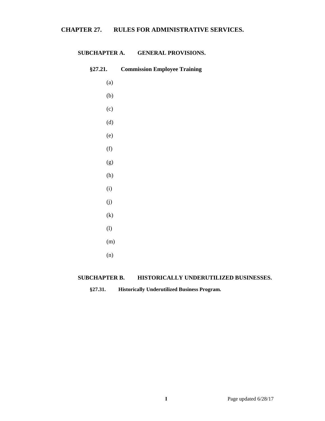# **CHAPTER 27. RULES FOR ADMINISTRATIVE SERVICES.**

## **SUBCHAPTER A. GENERAL PROVISIONS.**

| §27.21.           | <b>Commission Employee Training</b> |
|-------------------|-------------------------------------|
| (a)               |                                     |
| (b)               |                                     |
| (c)               |                                     |
| (d)               |                                     |
| (e)               |                                     |
| (f)               |                                     |
| (g)               |                                     |
| (h)               |                                     |
| (i)               |                                     |
| (j)               |                                     |
| $\left( k\right)$ |                                     |
| (1)               |                                     |
| (m)               |                                     |
| (n)               |                                     |
|                   |                                     |

## **SUBCHAPTER B. HISTORICALLY UNDERUTILIZED BUSINESSES.**

**§27.31. Historically Underutilized Business Program.**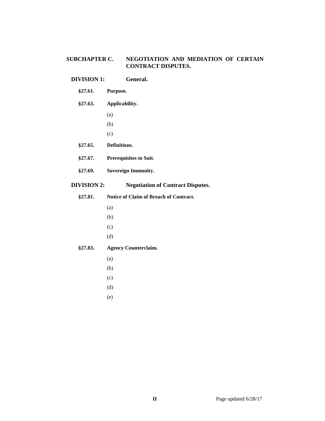# **SUBCHAPTER C. NEGOTIATION AND MEDIATION OF CERTAIN CONTRACT DISPUTES.**

## **DIVISION 1: General.**

#### **§27.61. Purpose.**

## **§27.63. Applicability.**

- (a)
- (b)
- (c)
- **§27.65. Definitions.**
- **§27.67. Prerequisites to Suit.**
- **§27.69. Sovereign Immunity.**

# **DIVISION 2: Negotiation of Contract Disputes.**

- **§27.81. Notice of Claim of Breach of Contract.** (a) (b) (c) (d) **§27.83. Agency Counterclaim.**
	- (a)
	- (b)
	- (c)
	- (d)
	- (e)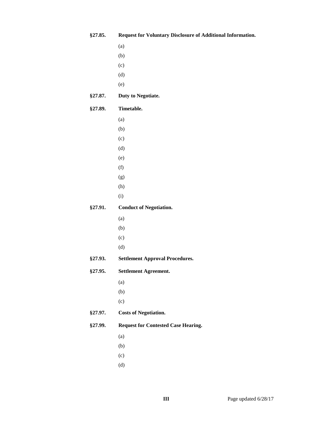| §27.85. | Request for Voluntary Disclosure of Additional Information. |
|---------|-------------------------------------------------------------|
|         | (a)                                                         |
|         | (b)                                                         |
|         | (c)                                                         |
|         | (d)                                                         |
|         | (e)                                                         |
| §27.87. | Duty to Negotiate.                                          |
| §27.89. | Timetable.                                                  |
|         | (a)                                                         |
|         | (b)                                                         |
|         | (c)                                                         |
|         | (d)                                                         |
|         | (e)                                                         |
|         | (f)                                                         |
|         | (g)                                                         |
|         | (h)                                                         |
|         | (i)                                                         |
| §27.91. | <b>Conduct of Negotiation.</b>                              |
|         | (a)                                                         |
|         | (b)                                                         |
|         | (c)                                                         |
|         | (d)                                                         |
| §27.93. | <b>Settlement Approval Procedures.</b>                      |
| §27.95. | <b>Settlement Agreement.</b>                                |
|         | (a)                                                         |
|         | (b)                                                         |
|         | (c)                                                         |
| §27.97. | <b>Costs of Negotiation.</b>                                |
| §27.99. | <b>Request for Contested Case Hearing.</b>                  |
|         | (a)                                                         |
|         | (b)                                                         |
|         | (c)                                                         |
|         | (d)                                                         |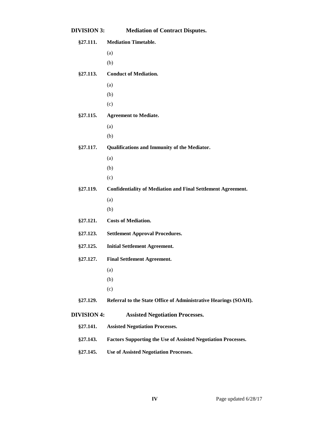| <b>DIVISION 3:</b> | <b>Mediation of Contract Disputes.</b>                               |
|--------------------|----------------------------------------------------------------------|
| §27.111.           | <b>Mediation Timetable.</b>                                          |
|                    | (a)                                                                  |
|                    | (b)                                                                  |
| §27.113.           | <b>Conduct of Mediation.</b>                                         |
|                    | (a)                                                                  |
|                    | (b)                                                                  |
|                    | (c)                                                                  |
| §27.115.           | <b>Agreement to Mediate.</b>                                         |
|                    | (a)                                                                  |
|                    | (b)                                                                  |
| §27.117.           | Qualifications and Immunity of the Mediator.                         |
|                    | (a)                                                                  |
|                    | (b)                                                                  |
|                    | (c)                                                                  |
| §27.119.           | <b>Confidentiality of Mediation and Final Settlement Agreement.</b>  |
|                    | (a)                                                                  |
|                    | (b)                                                                  |
| §27.121.           | <b>Costs of Mediation.</b>                                           |
| §27.123.           | <b>Settlement Approval Procedures.</b>                               |
| §27.125.           | <b>Initial Settlement Agreement.</b>                                 |
| §27.127.           | <b>Final Settlement Agreement.</b>                                   |
|                    | (a)                                                                  |
|                    | (b)                                                                  |
|                    | (c)                                                                  |
| §27.129.           | Referral to the State Office of Administrative Hearings (SOAH).      |
| <b>DIVISION 4:</b> | <b>Assisted Negotiation Processes.</b>                               |
| §27.141.           | <b>Assisted Negotiation Processes.</b>                               |
| §27.143.           | <b>Factors Supporting the Use of Assisted Negotiation Processes.</b> |
| §27.145.           | <b>Use of Assisted Negotiation Processes.</b>                        |